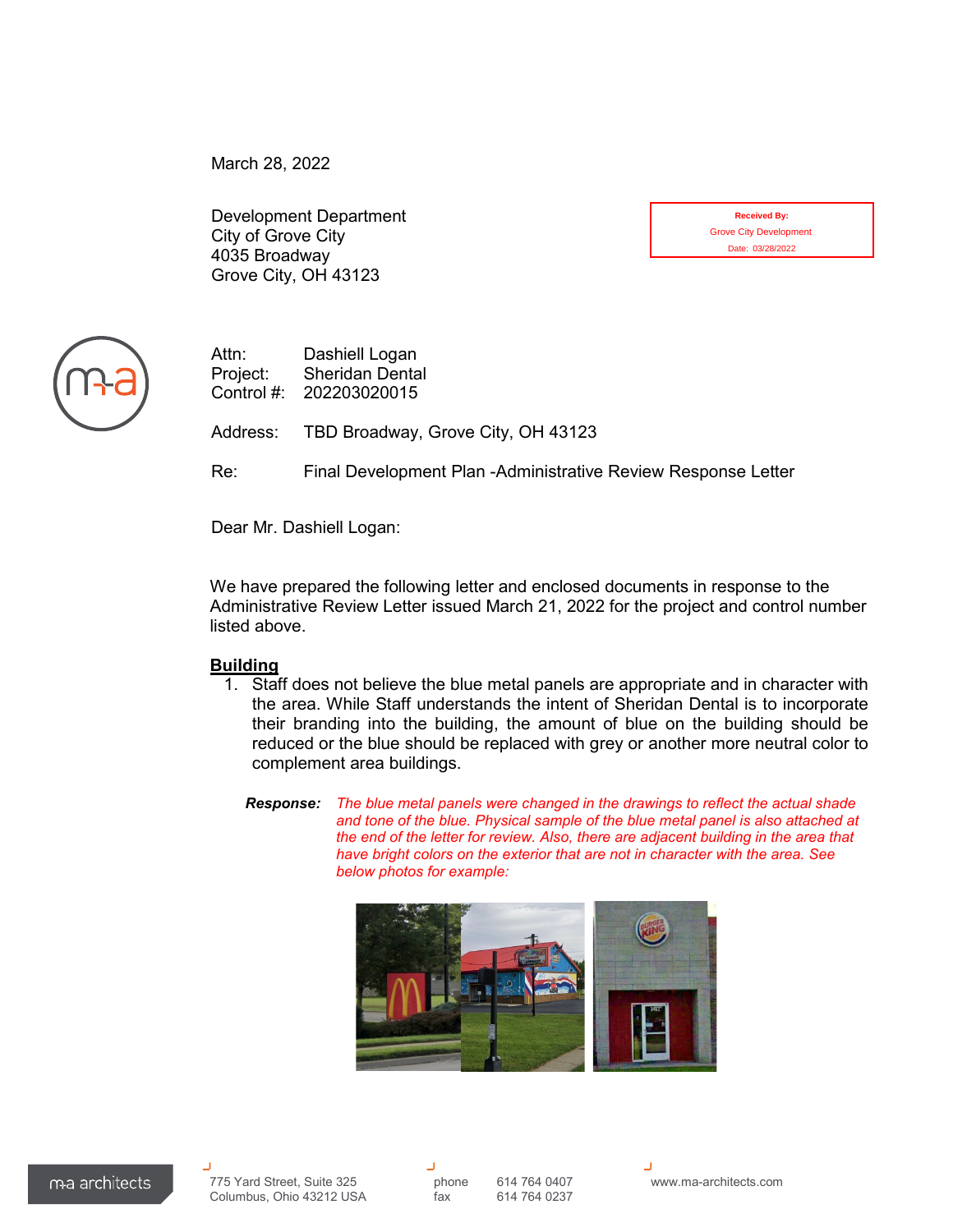March 28, 2022

Development Department City of Grove City 4035 Broadway Grove City, OH 43123

| <b>Received By:</b>           |
|-------------------------------|
| <b>Grove City Development</b> |
| Date: 03/28/2022              |



Attn: Dashiell Logan Project: Sheridan Dental Control #: 202203020015

Address: TBD Broadway, Grove City, OH 43123

Re: Final Development Plan -Administrative Review Response Letter

Dear Mr. Dashiell Logan:

We have prepared the following letter and enclosed documents in response to the Administrative Review Letter issued March 21, 2022 for the project and control number listed above.

## **Building**

- 1. Staff does not believe the blue metal panels are appropriate and in character with the area. While Staff understands the intent of Sheridan Dental is to incorporate their branding into the building, the amount of blue on the building should be reduced or the blue should be replaced with grey or another more neutral color to complement area buildings.
	- *Response: The blue metal panels were changed in the drawings to reflect the actual shade and tone of the blue. Physical sample of the blue metal panel is also attached at the end of the letter for review. Also, there are adjacent building in the area that have bright colors on the exterior that are not in character with the area. See below photos for example:*

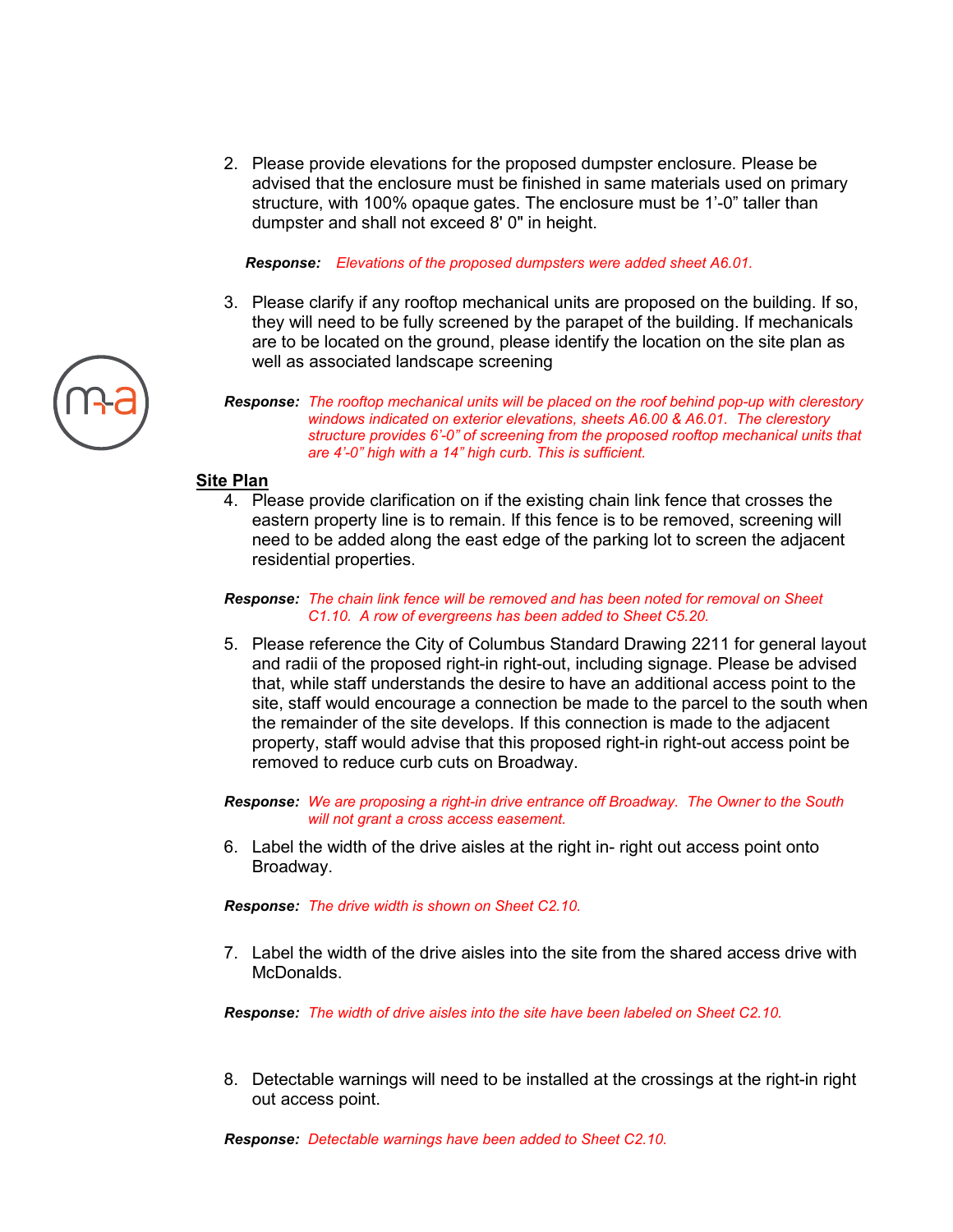2. Please provide elevations for the proposed dumpster enclosure. Please be advised that the enclosure must be finished in same materials used on primary structure, with 100% opaque gates. The enclosure must be 1'-0" taller than dumpster and shall not exceed 8' 0" in height.

*Response: Elevations of the proposed dumpsters were added sheet A6.01.* 

- 3. Please clarify if any rooftop mechanical units are proposed on the building. If so, they will need to be fully screened by the parapet of the building. If mechanicals are to be located on the ground, please identify the location on the site plan as well as associated landscape screening
- *Response: The rooftop mechanical units will be placed on the roof behind pop-up with clerestory windows indicated on exterior elevations, sheets A6.00 & A6.01. The clerestory structure provides 6'-0" of screening from the proposed rooftop mechanical units that are 4'-0" high with a 14" high curb. This is sufficient.*

## **Site Plan**

- 4. Please provide clarification on if the existing chain link fence that crosses the eastern property line is to remain. If this fence is to be removed, screening will need to be added along the east edge of the parking lot to screen the adjacent residential properties.
- *Response: The chain link fence will be removed and has been noted for removal on Sheet C1.10. A row of evergreens has been added to Sheet C5.20.*
- 5. Please reference the City of Columbus Standard Drawing 2211 for general layout and radii of the proposed right-in right-out, including signage. Please be advised that, while staff understands the desire to have an additional access point to the site, staff would encourage a connection be made to the parcel to the south when the remainder of the site develops. If this connection is made to the adjacent property, staff would advise that this proposed right-in right-out access point be removed to reduce curb cuts on Broadway.

*Response: We are proposing a right-in drive entrance off Broadway. The Owner to the South will not grant a cross access easement.* 

6. Label the width of the drive aisles at the right in- right out access point onto Broadway.

*Response: The drive width is shown on Sheet C2.10.* 

7. Label the width of the drive aisles into the site from the shared access drive with McDonalds.

*Response: The width of drive aisles into the site have been labeled on Sheet C2.10.* 

8. Detectable warnings will need to be installed at the crossings at the right-in right out access point.

*Response: Detectable warnings have been added to Sheet C2.10.*

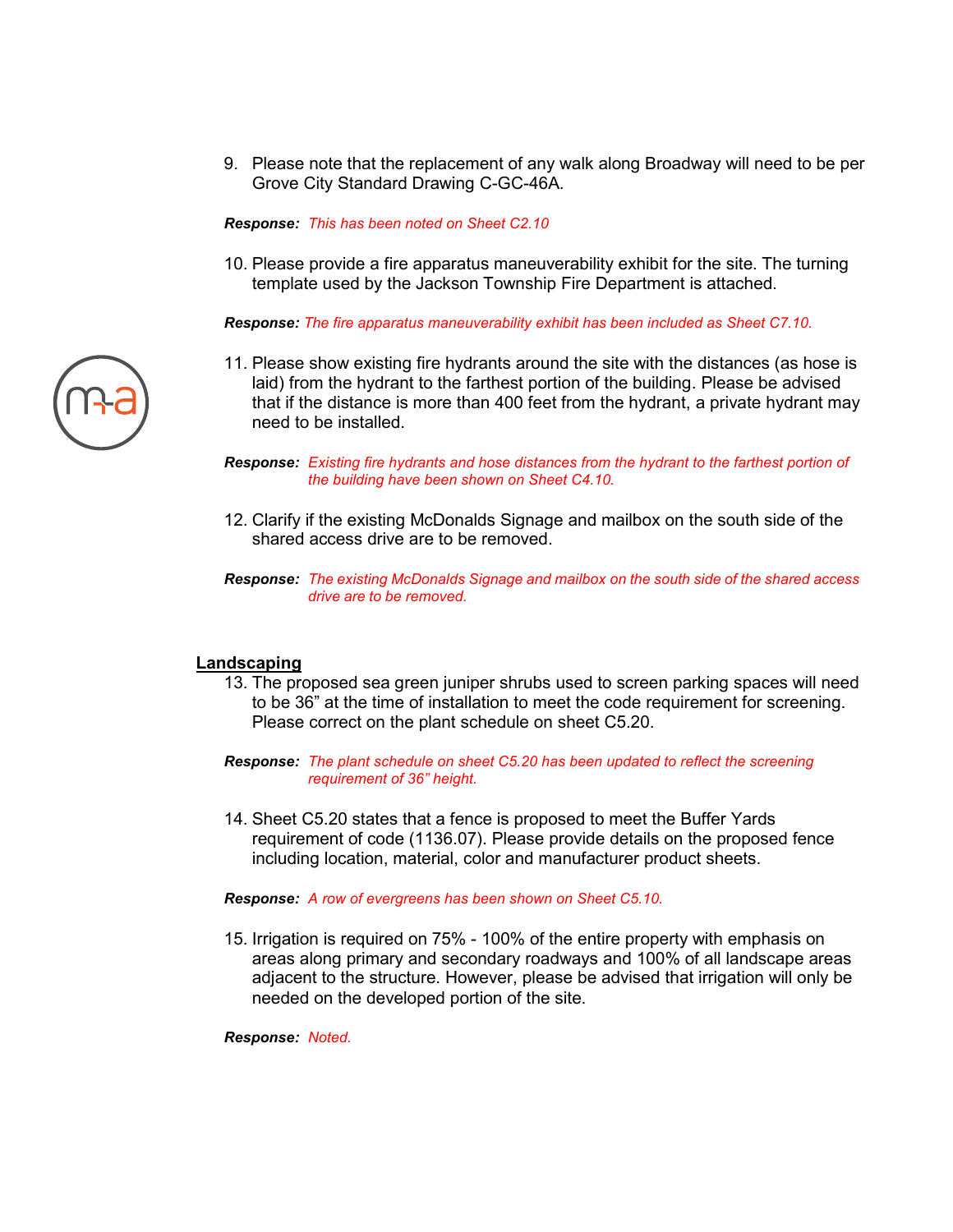9. Please note that the replacement of any walk along Broadway will need to be per Grove City Standard Drawing C-GC-46A.

*Response: This has been noted on Sheet C2.10* 

10. Please provide a fire apparatus maneuverability exhibit for the site. The turning template used by the Jackson Township Fire Department is attached.

*Response: The fire apparatus maneuverability exhibit has been included as Sheet C7.10.*

11. Please show existing fire hydrants around the site with the distances (as hose is laid) from the hydrant to the farthest portion of the building. Please be advised that if the distance is more than 400 feet from the hydrant, a private hydrant may need to be installed.

*Response: Existing fire hydrants and hose distances from the hydrant to the farthest portion of the building have been shown on Sheet C4.10.*

- 12. Clarify if the existing McDonalds Signage and mailbox on the south side of the shared access drive are to be removed.
- *Response: The existing McDonalds Signage and mailbox on the south side of the shared access drive are to be removed.*

## **Landscaping**

- 13. The proposed sea green juniper shrubs used to screen parking spaces will need to be 36" at the time of installation to meet the code requirement for screening. Please correct on the plant schedule on sheet C5.20.
- *Response: The plant schedule on sheet C5.20 has been updated to reflect the screening requirement of 36" height.*
- 14. Sheet C5.20 states that a fence is proposed to meet the Buffer Yards requirement of code (1136.07). Please provide details on the proposed fence including location, material, color and manufacturer product sheets.

*Response: A row of evergreens has been shown on Sheet C5.10.*

15. Irrigation is required on 75% - 100% of the entire property with emphasis on areas along primary and secondary roadways and 100% of all landscape areas adjacent to the structure. However, please be advised that irrigation will only be needed on the developed portion of the site.

#### *Response: Noted.*

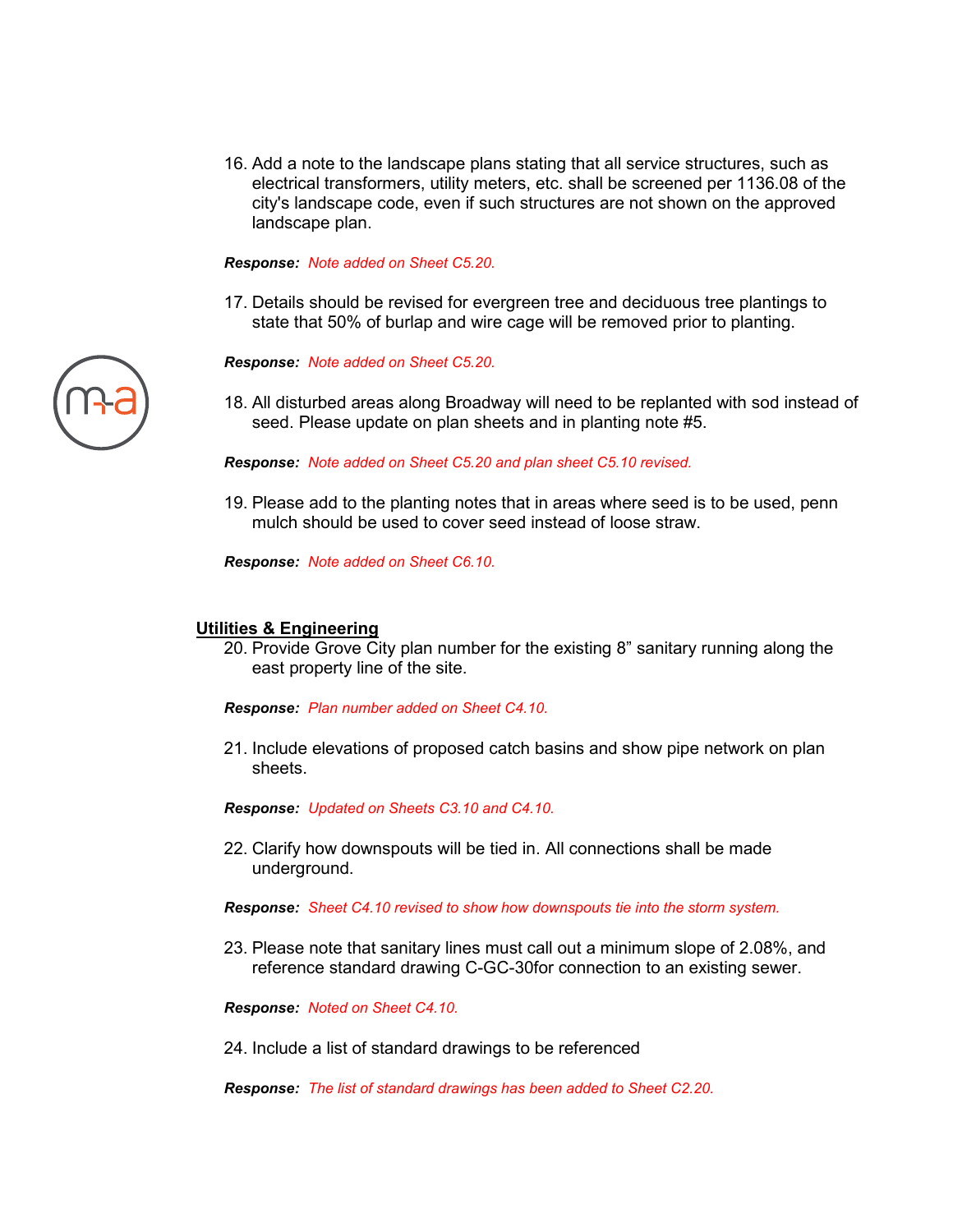16. Add a note to the landscape plans stating that all service structures, such as electrical transformers, utility meters, etc. shall be screened per 1136.08 of the city's landscape code, even if such structures are not shown on the approved landscape plan.

### *Response: Note added on Sheet C5.20.*

17. Details should be revised for evergreen tree and deciduous tree plantings to state that 50% of burlap and wire cage will be removed prior to planting.

*Response: Note added on Sheet C5.20.* 

18. All disturbed areas along Broadway will need to be replanted with sod instead of seed. Please update on plan sheets and in planting note #5.

*Response: Note added on Sheet C5.20 and plan sheet C5.10 revised.* 

19. Please add to the planting notes that in areas where seed is to be used, penn mulch should be used to cover seed instead of loose straw.

*Response: Note added on Sheet C6.10.* 

### **Utilities & Engineering**

20. Provide Grove City plan number for the existing 8" sanitary running along the east property line of the site.

*Response: Plan number added on Sheet C4.10.*

21. Include elevations of proposed catch basins and show pipe network on plan sheets.

*Response: Updated on Sheets C3.10 and C4.10.*

22. Clarify how downspouts will be tied in. All connections shall be made underground.

*Response: Sheet C4.10 revised to show how downspouts tie into the storm system.*

23. Please note that sanitary lines must call out a minimum slope of 2.08%, and reference standard drawing C-GC-30for connection to an existing sewer.

*Response: Noted on Sheet C4.10.*

24. Include a list of standard drawings to be referenced

*Response: The list of standard drawings has been added to Sheet C2.20.*